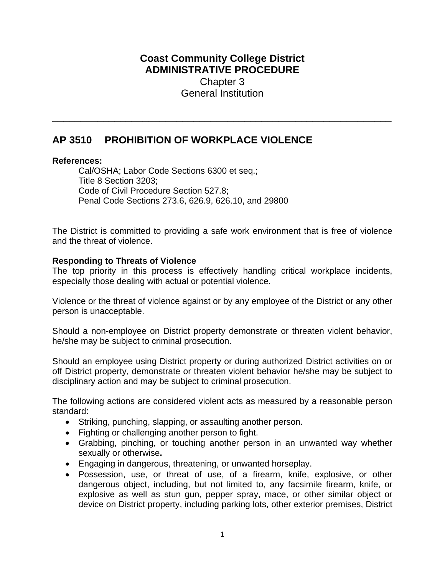## **Coast Community College District ADMINISTRATIVE PROCEDURE**  Chapter 3 General Institution

\_\_\_\_\_\_\_\_\_\_\_\_\_\_\_\_\_\_\_\_\_\_\_\_\_\_\_\_\_\_\_\_\_\_\_\_\_\_\_\_\_\_\_\_\_\_\_\_\_\_\_\_\_\_\_\_\_\_\_\_

## **AP 3510 PROHIBITION OF WORKPLACE VIOLENCE**

## **References:**

Cal/OSHA; Labor Code Sections 6300 et seq.; Title 8 Section 3203; Code of Civil Procedure Section 527.8; Penal Code Sections 273.6, 626.9, 626.10, and 29800

The District is committed to providing a safe work environment that is free of violence and the threat of violence.

## **Responding to Threats of Violence**

The top priority in this process is effectively handling critical workplace incidents, especially those dealing with actual or potential violence.

Violence or the threat of violence against or by any employee of the District or any other person is unacceptable.

Should a non-employee on District property demonstrate or threaten violent behavior, he/she may be subject to criminal prosecution.

Should an employee using District property or during authorized District activities on or off District property, demonstrate or threaten violent behavior he/she may be subject to disciplinary action and may be subject to criminal prosecution.

The following actions are considered violent acts as measured by a reasonable person standard:

- Striking, punching, slapping, or assaulting another person.
- Fighting or challenging another person to fight.
- Grabbing, pinching, or touching another person in an unwanted way whether sexually or otherwise**.**
- Engaging in dangerous, threatening, or unwanted horseplay.
- Possession, use, or threat of use, of a firearm, knife, explosive, or other dangerous object, including, but not limited to, any facsimile firearm, knife, or explosive as well as stun gun, pepper spray, mace, or other similar object or device on District property, including parking lots, other exterior premises, District